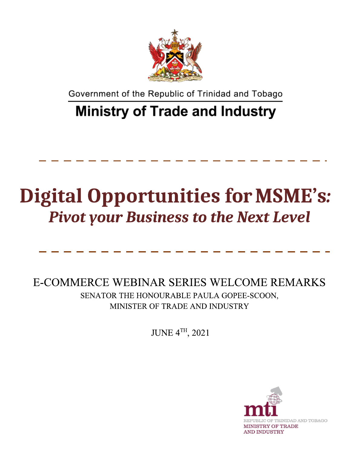

Government of the Republic of Trinidad and Tobago

## **Ministry of Trade and Industry**

## **Digital Opportunities for MSME's: Pivot your Business to the Next Level**

E-COMMERCE WEBINAR SERIES WELCOME REMARKS SENATOR THE HONOURABLE PAULA GOPEE-SCOON, MINISTER OF TRADE AND INDUSTRY

**JUNE 4TH, 2021** 

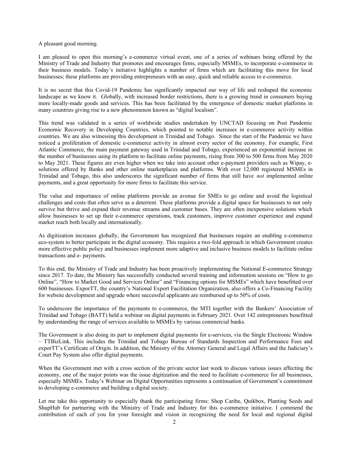A pleasant good morning.

I am pleased to open this morning's e-commerce virtual event, one of a series of webinars being offered by the Ministry of Trade and Industry that promotes and encourages firms, especially MSMEs, to incorporate e-commerce in their business models. Today's initiative highlights a number of firms which are facilitating this move for local businesses; these platforms are providing entrepreneurs with an easy, quick and reliable access to e-commerce.

It is no secret that this Covid-19 Pandemic has significantly impacted our way of life and reshaped the economic landscape as we know it. Globally, with increased border restrictions, there is a growing trend in consumers buying more locally-made goods and services. This has been facilitated by the emergence of domestic market platforms in many countries giving rise to a new phenomenon known as "digital localism".

This trend was validated in a series of worldwide studies undertaken by UNCTAD focusing on Post Pandemic Economic Recovery in Developing Countries, which pointed to notable increases in e-commerce activity within countries. We are also witnessing this development in Trinidad and Tobago. Since the start of the Pandemic we have noticed a proliferation of domestic e-commerce activity in almost every sector of the economy. For example, First Atlantic Commerce, the main payment gateway used in Trinidad and Tobago, experienced an exponential increase in the number of businesses using its platform to facilitate online payments, rising from 300 to 500 firms from May 2020 to May 2021. These figures are even higher when we take into account other e-payment providers such as Wipay, esolutions offered by Banks and other online marketplaces and platforms. With over 12,000 registered MSMEs in Trinidad and Tobago, this also underscores the significant number of firms that still have *not* implemented online payments, and a great opportunity for more firms to facilitate this service.

The value and importance of online platforms provide an avenue for SMEs to go online and avoid the logistical challenges and costs that often serve as a deterrent. These platforms provide a digital space for businesses to not only survive but thrive and expand their revenue streams and customer bases. They are often inexpensive solutions which allow businesses to set up their e-commerce operations, track customers, improve customer experience and expand market reach both locally and internationally.

As digitization increases globally, the Government has recognized that businesses require an enabling e-commerce eco-system to better participate in the digital economy. This requires a two-fold approach in which Government creates more effective public policy and businesses implement more adaptive and inclusive business models to facilitate online transactions and e- payments.

To this end, the Ministry of Trade and Industry has been proactively implementing the National E-commerce Strategy since 2017. To date, the Ministry has successfully conducted several training and information sessions on "How to go Online", "How to Market Good and Services Online" and "Financing options for MSMEs" which have benefitted over 600 businesses. ExporTT, the country's National Export Facilitation Organization, also offers a Co-Financing Facility for website development and upgrade where successful applicants are reimbursed up to 50% of costs.

To underscore the importance of the payments to e-commerce, the MTI together with the Bankers' Association of Trinidad and Tobago (BATT) held a webinar on digital payments in February 2021. Over 142 entrepreneurs benefitted by understanding the range of services available to MSMEs by various commercial banks.

The Government is also doing its part to implement digital payments for e-services, via the Single Electronic Window – TTBizLink. This includes the Trinidad and Tobago Bureau of Standards Inspection and Performance Fees and exporTT's Certificate of Origin. In addition, the Ministry of the Attorney General and Legal Affairs and the Judiciary's Court Pay System also offer digital payments.

When the Government met with a cross section of the private sector last week to discuss various issues affecting the economy, one of the major points was the issue digitization and the need to facilitate e-commerce for all businesses, especially MSMEs. Today's Webinar on Digital Opportunities represents a continuation of Government's commitment to developing e-commerce and building a digital society.

Let me take this opportunity to especially thank the participating firms: Shop Caribe, Quikbox, Planting Seeds and ShupHub for partnering with the Ministry of Trade and Industry for this e-commerce initiative. I commend the contribution of each of you for your foresight and vision in recognizing the need for local and regional digital